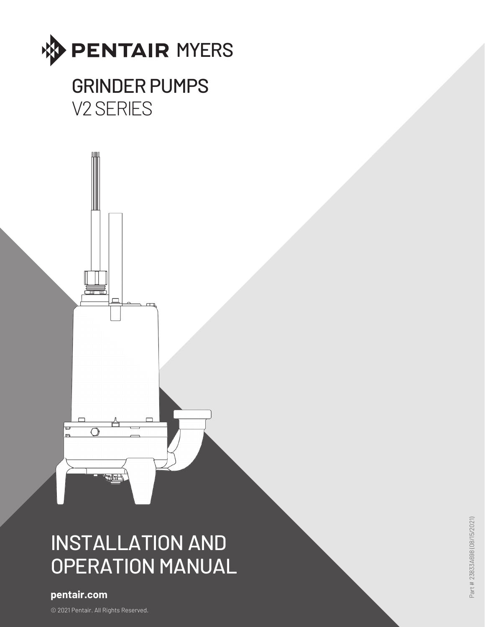

# INSTALLATION AND OPERATION MANUAL

### **pentair.com**

© 2021 Pentair. All Rights Reserved.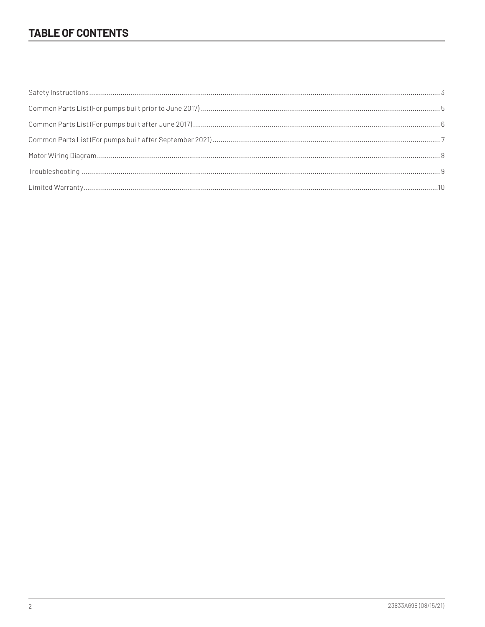### **TABLE OF CONTENTS**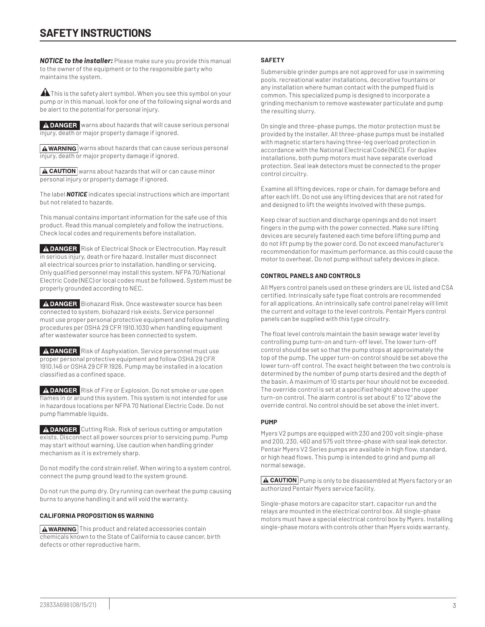### **SAFETY INSTRUCTIONS**

*NOTICE to the installer:* Please make sure you provide this manual to the owner of the equipment or to the responsible party who maintains the system.

This is the safety alert symbol. When you see this symbol on your pump or in this manual, look for one of the following signal words and be alert to the potential for personal injury.

**A DANGER** warns about hazards that will cause serious personal injury, death or major property damage if ignored.

**A WARNING** warns about hazards that can cause serious personal injury, death or major property damage if ignored.

 $\Delta$  CAUTION warns about hazards that will or can cause minor personal injury or property damage if ignored.

The label *NOTICE* indicates special instructions which are important but not related to hazards.

This manual contains important information for the safe use of this product. Read this manual completely and follow the instructions. Check local codes and requirements before installation.

**ADANGER** Risk of Electrical Shock or Electrocution. May result in serious injury, death or fire hazard. Installer must disconnect all electrical sources prior to installation, handling or servicing. Only qualified personnel may install this system. NFPA 70/National Electric Code (NEC) or local codes must be followed. System must be properly grounded according to NEC.

**A DANGER** Biohazard Risk. Once wastewater source has been connected to system, biohazard risk exists. Service personnel must use proper personal protective equipment and follow handling procedures per OSHA 29 CFR 1910.1030 when handling equipment after wastewater source has been connected to system.

**ADANGER** Risk of Asphyxiation. Service personnel must use proper personal protective equipment and follow OSHA 29 CFR 1910.146 or OSHA 29 CFR 1926. Pump may be installed in a location classified as a confined space.

**ADANGER** Risk of Fire or Explosion. Do not smoke or use open flames in or around this system. This system is not intended for use in hazardous locations per NFPA 70 National Electric Code. Do not pump flammable liquids.

ADANGER Cutting Risk. Risk of serious cutting or amputation exists. Disconnect all power sources prior to servicing pump. Pump may start without warning. Use caution when handling grinder mechanism as it is extremely sharp.

Do not modify the cord strain relief. When wiring to a system control, connect the pump ground lead to the system ground.

Do not run the pump dry. Dry running can overheat the pump causing burns to anyone handling it and will void the warranty.

#### **CALIFORNIA PROPOSITION 65 WARNING**

**AWARNING** This product and related accessories contain chemicals known to the State of California to cause cancer, birth defects or other reproductive harm.

#### **SAFETY**

Submersible grinder pumps are not approved for use in swimming pools, recreational water installations, decorative fountains or any installation where human contact with the pumped fluid is common. This specialized pump is designed to incorporate a grinding mechanism to remove wastewater particulate and pump the resulting slurry.

On single and three-phase pumps, the motor protection must be provided by the installer. All three-phase pumps must be installed with magnetic starters having three-leg overload protection in accordance with the National Electrical Code (NEC). For duplex installations, both pump motors must have separate overload protection. Seal leak detectors must be connected to the proper control circuitry.

Examine all lifting devices, rope or chain, for damage before and after each lift. Do not use any lifting devices that are not rated for and designed to lift the weights involved with these pumps.

Keep clear of suction and discharge openings and do not insert fingers in the pump with the power connected. Make sure lifting devices are securely fastened each time before lifting pump and do not lift pump by the power cord. Do not exceed manufacturer's recommendation for maximum performance, as this could cause the motor to overheat. Do not pump without safety devices in place.

#### **CONTROL PANELS AND CONTROLS**

All Myers control panels used on these grinders are UL listed and CSA certified. Intrinsically safe type float controls are recommended for all applications. An intrinsically safe control panel relay will limit the current and voltage to the level controls. Pentair Myers control panels can be supplied with this type circuitry.

The float level controls maintain the basin sewage water level by controlling pump turn-on and turn-off level. The lower turn-off control should be set so that the pump stops at approximately the top of the pump. The upper turn-on control should be set above the lower turn-off control. The exact height between the two controls is determined by the number of pump starts desired and the depth of the basin. A maximum of 10 starts per hour should not be exceeded. The override control is set at a specified height above the upper turn-on control. The alarm control is set about 6" to 12" above the override control. No control should be set above the inlet invert.

#### **PUMP**

Myers V2 pumps are equipped with 230 and 200 volt single-phase and 200, 230, 460 and 575 volt three-phase with seal leak detector. Pentair Myers V2 Series pumps are available in high flow, standard, or high head flows. This pump is intended to grind and pump all normal sewage.

 $\boxed{\textbf{A}$  CAUTION Pump is only to be disassembled at Myers factory or an authorized Pentair Myers service facility.

Single-phase motors are capacitor start, capacitor run and the relays are mounted in the electrical control box. All single-phase motors must have a special electrical control box by Myers. Installing single-phase motors with controls other than Myers voids warranty.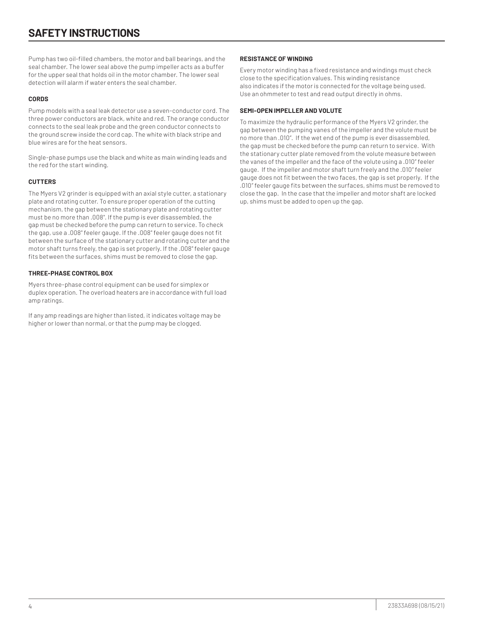### **SAFETY INSTRUCTIONS**

Pump has two oil-filled chambers, the motor and ball bearings, and the seal chamber. The lower seal above the pump impeller acts as a buffer for the upper seal that holds oil in the motor chamber. The lower seal detection will alarm if water enters the seal chamber.

#### **CORDS**

Pump models with a seal leak detector use a seven-conductor cord. The three power conductors are black, white and red. The orange conductor connects to the seal leak probe and the green conductor connects to the ground screw inside the cord cap. The white with black stripe and blue wires are for the heat sensors.

Single-phase pumps use the black and white as main winding leads and the red for the start winding.

#### **CUTTERS**

The Myers V2 grinder is equipped with an axial style cutter, a stationary plate and rotating cutter. To ensure proper operation of the cutting mechanism, the gap between the stationary plate and rotating cutter must be no more than .008". If the pump is ever disassembled, the gap must be checked before the pump can return to service. To check the gap, use a .008" feeler gauge. If the .008" feeler gauge does not fit between the surface of the stationary cutter and rotating cutter and the motor shaft turns freely, the gap is set properly. If the .008" feeler gauge fits between the surfaces, shims must be removed to close the gap.

#### **THREE-PHASE CONTROL BOX**

Myers three-phase control equipment can be used for simplex or duplex operation. The overload heaters are in accordance with full load amp ratings.

If any amp readings are higher than listed, it indicates voltage may be higher or lower than normal, or that the pump may be clogged.

#### **RESISTANCE OF WINDING**

Every motor winding has a fixed resistance and windings must check close to the specification values. This winding resistance also indicates if the motor is connected for the voltage being used. Use an ohmmeter to test and read output directly in ohms.

#### **SEMI-OPEN IMPELLER AND VOLUTE**

To maximize the hydraulic performance of the Myers V2 grinder, the gap between the pumping vanes of the impeller and the volute must be no more than .010". If the wet end of the pump is ever disassembled, the gap must be checked before the pump can return to service. With the stationary cutter plate removed from the volute measure between the vanes of the impeller and the face of the volute using a .010" feeler gauge. If the impeller and motor shaft turn freely and the .010" feeler gauge does not fit between the two faces, the gap is set properly. If the .010" feeler gauge fits between the surfaces, shims must be removed to close the gap. In the case that the impeller and motor shaft are locked up, shims must be added to open up the gap.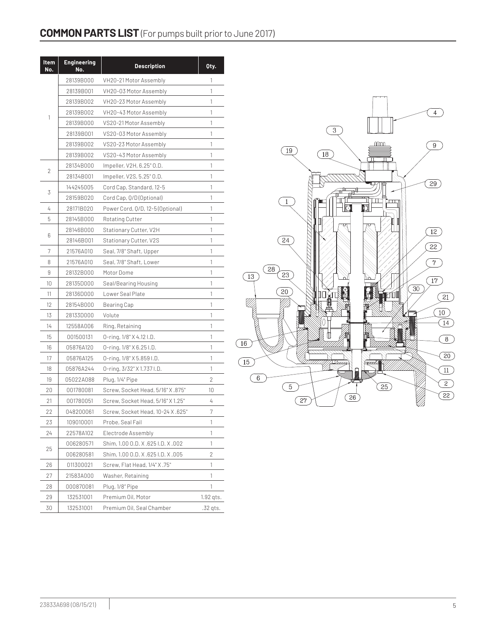| Item<br>No. | <b>Engineering</b><br>No. | <b>Description</b>                 | Oty.      |
|-------------|---------------------------|------------------------------------|-----------|
|             | 28139B000                 | VH20-21 Motor Assembly             | 1         |
| 1           | 28139B001                 | VH20-03 Motor Assembly             | 1         |
|             | 28139B002                 | VH20-23 Motor Assembly             | 1         |
|             | 28139B002                 | VH20-43 Motor Assembly             | 1         |
|             | 28139B000                 | VS20-21 Motor Assembly             | 1         |
|             | 28139B001                 | VS20-03 Motor Assembly             | 1         |
|             | 28139B002                 | VS20-23 Motor Assembly             | 1         |
|             | 28139B002                 | VS20-43 Motor Assembly             | 1         |
|             | 28134B000                 | Impeller, V2H, 6.25" O.D.          | 1         |
| 2           | 28134B001                 | Impeller, V2S, 5.25" O.D.          | 1         |
|             | 144245005                 | Cord Cap, Standard, 12-5           | 1         |
| 3           | 28159B020                 | Cord Cap, Q/D (Optional)           | 1         |
| 4           | 28171B020                 | Power Cord, Q/D, 12-5 (Optional)   | 1         |
| 5           | 28145B000                 | Rotating Cutter                    | 1         |
|             | 28146B000                 | Stationary Cutter, V2H             | 1         |
| 6           | 28146B001                 | Stationary Cutter, V2S             | 1         |
| 7           | 21576A010                 | Seal, 7/8" Shaft, Upper            | 1         |
| 8           | 21576A010                 | Seal, 7/8" Shaft, Lower            | 1         |
| 9           | 28132B000                 | Motor Dome                         | 1         |
| 10          | 28135D000                 | Seal/Bearing Housing               | 1         |
| 11          | 28136D000                 | Lower Seal Plate                   | 1         |
| 12          | 28154B000                 | Bearing Cap                        | 1         |
| 13          | 28133D000                 | Volute                             |           |
| 14          | 12558A006                 | Ring, Retaining                    | 1         |
| 15          | 001500131                 | 0-ring, 1/8" X 4.12 I.D.           | 1         |
| 16          | 05876A120                 | 0-ring, 1/8" X 6.25 I.D.           | 1         |
| 17          | 05876A125                 | 0-ring, 1/8" X 5.859 I.D.          | 1         |
| 18          | 05876A244                 | 0-ring, 3/32" X 1.737 I.D.         | 1         |
| 19          | 05022A088                 | Plug, 1/4" Pipe                    | 2         |
| 20          | 001780081                 | Screw, Socket Head, 5/16" X.875"   | 10        |
| 21          | 001780051                 | Screw, Socket Head, 5/16" X 1.25"  | 4         |
| 22          | 048200061                 | Screw, Socket Head, 10-24 X .625"  | 7         |
| 23          | 109010001                 | Probe, Seal Fail                   | 1         |
| 24          | 22578A102                 | Electrode Assembly                 | 1         |
| 25          | 006280571                 | Shim, 1.00 O.D. X .625 I.D. X .002 | 1         |
|             | 006280581                 | Shim, 1.00 O.D. X .625 I.D. X .005 | 2         |
| 26          | 011300021                 | Screw, Flat Head, 1/4" X.75"       | 1         |
| 27          | 21583A000                 | Washer, Retaining                  | 1         |
| 28          | 000870081                 | Plug, 1/8" Pipe                    | 1         |
| 29          | 132531001                 | Premium Oil, Motor                 | 1.92 qts. |
| 30          | 132531001                 | Premium Oil, Seal Chamber          | .32 qts.  |

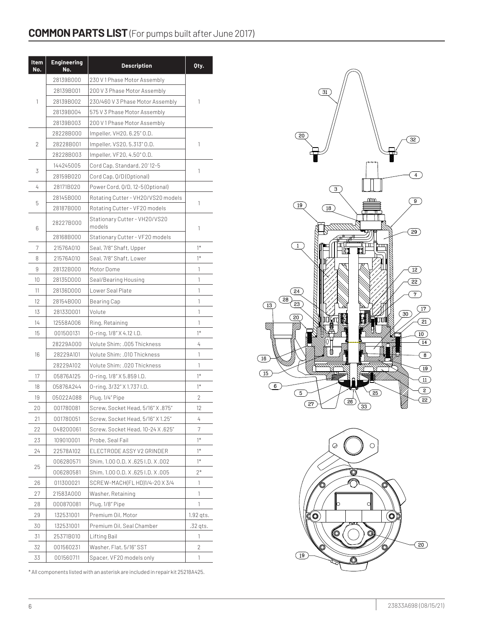### **COMMON PARTS LIST** (For pumps built after June 2017)

| <u>Item</u><br>No. | <b>Engineering</b><br>No. | <b>Description</b>                      | $Q$ ty.     |
|--------------------|---------------------------|-----------------------------------------|-------------|
|                    | 28139B000                 | 230 V 1 Phase Motor Assembly            |             |
| 1                  | 28139B001                 | 200 V 3 Phase Motor Assembly            |             |
|                    | 28139B002                 | 230/460 V 3 Phase Motor Assembly        | 1           |
|                    | 28139B004                 | 575 V 3 Phase Motor Assembly            |             |
|                    | 28139B003                 | 200 V 1 Phase Motor Assembly            |             |
|                    | 28228B000                 | Impeller, VH20, 6.25" O.D.              |             |
| $\overline{2}$     | 28228B001                 | Impeller, VS20, 5.313" O.D.             | 1           |
|                    | 28228B003                 | Impeller, VF20, 4.50" O.D.              |             |
|                    | 144245005                 | Cord Cap, Standard, 20'12-5             | 1           |
| 3                  | 28159B020                 | Cord Cap, Q/D (Optional)                |             |
| 4                  | 28171B020                 | Power Cord, Q/D, 12-5 (Optional)        |             |
| 5                  | 28145B000                 | Rotating Cutter - VH20/VS20 models      | 1           |
|                    | 28187B000                 | Rotating Cutter - VF20 models           |             |
| 6                  | 28227B000                 | Stationary Cutter - VH20/VS20<br>models | 1           |
|                    | 28168B000                 | Stationary Cutter - VF20 models         |             |
| 7                  | 21576A010                 | Seal, 7/8" Shaft, Upper                 | $1*$        |
| 8                  | 21576A010                 | Seal, 7/8" Shaft, Lower                 | $1*$        |
| 9                  | 28132B000                 | Motor Dome                              | 1           |
| 10                 | 28135D000                 | Seal/Bearing Housing                    | 1           |
| 11                 | 28136D000                 | Lower Seal Plate                        | 1           |
| 12                 | 28154B000                 | Bearing Cap                             | 1           |
| 13                 | 28133D001                 | Volute                                  | 1           |
| 14                 | 12558A006                 | Ring, Retaining                         | 1           |
| 15                 | 001500131                 | 0-ring, 1/8" X 4.12 I.D.                | $1*$        |
|                    | 28229A000                 | Volute Shim; .005 Thickness             | 4           |
| 16                 | 28229A101                 | Volute Shim; .010 Thickness             | 1           |
|                    | 28229A102                 | Volute Shim; .020 Thickness             | 1           |
| 17                 | 05876A125                 | 0-ring, 1/8" X 5.859 I.D.               | $1*$        |
| 18                 | 05876A244                 | 0-ring, 3/32" X 1.737 I.D.              | $1*$        |
| 19                 | 05022A088                 | Plug, 1/4" Pipe                         | 2           |
| 20                 | 001780081                 | Screw, Socket Head, 5/16" X .875"       | 12          |
| 21                 | 001780051                 | Screw, Socket Head, 5/16" X 1.25"       | 4           |
| 22                 | 048200061                 | Screw, Socket Head, 10-24 X.625"        | 7           |
| 23                 | 109010001                 | Probe, Seal Fail                        | $1*$        |
| 24                 | 22578A102                 | ELECTRODE ASSY V2 GRINDER               | $1*$        |
| 25                 | 006280571                 | Shim, 1.00 O.D. X .625 I.D. X .002      | $1*$        |
|                    | 006280581                 | Shim, 1.00 O.D. X .625 I.D. X .005      | $2^*$       |
| 26                 | 011300021                 | SCREW-MACH(FL HD)1/4-20 X 3/4           | 1           |
| 27                 | 21583A000                 | Washer, Retaining                       | 1           |
| 28                 | 000870081                 | Plug, 1/8" Pipe                         | 1           |
| 29                 | 132531001                 | Premium Oil, Motor                      | $1.92$ qts. |
| 30                 | 132531001                 | Premium Oil, Seal Chamber               | .32 qts.    |
| 31                 | 25371B010                 | Lifting Bail                            | 1           |
| 32                 | 001560231                 | Washer, Flat, 5/16" SST                 | 2           |
| 33                 | 001560711                 | Spacer, VF20 models only                | 1           |

\* All components listed with an asterisk are included in repair kit 25218A425.



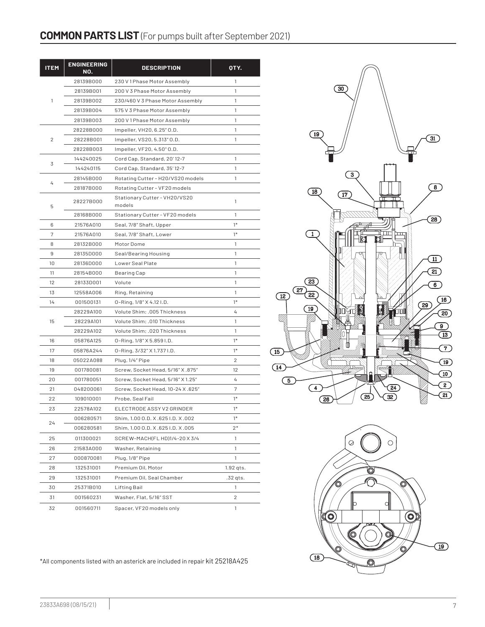### **COMMON PARTS LIST** (For pumps built after September 2021)

| <b>ITEM</b>    | <b>ENGINEERING</b><br>NO. | DESCRIPTION                             | QTY.           |
|----------------|---------------------------|-----------------------------------------|----------------|
|                | 28139B000                 | 230 V 1 Phase Motor Assembly            | 1              |
| 1              | 28139B001                 | 200 V 3 Phase Motor Assembly            | 1              |
|                | 28139B002                 | 230/460 V 3 Phase Motor Assembly        | 1              |
|                | 28139B004                 | 575 V 3 Phase Motor Assembly            | 1              |
|                | 28139B003                 | 200 V1 Phase Motor Assembly             | 1              |
|                | 28228B000                 | Impeller, VH20, 6.25" O.D.              | 1              |
| 2              | 28228B001                 | Impeller, VS20, 5.313" O.D.             | 1              |
|                | 28228B003                 | Impeller, VF20, 4.50" O.D.              |                |
|                | 144240025                 | Cord Cap, Standard, 20'12-7             | 1              |
| 3              | 144240115                 | Cord Cap, Standard, 35'12-7             | 1              |
|                | 28145B000                 | Rotating Cutter - H20/VS20 models       | 1              |
| 4              | 28187B000                 | Rotating Cutter - VF20 models           |                |
| 5              | 28227B000                 | Stationary Cutter - VH20/VS20<br>models | $\mathbf{1}$   |
|                | 28168B000                 | Stationary Cutter - VF20 models         | 1              |
| 6              | 21576A010                 | Seal, 7/8" Shaft, Upper                 | $1*$           |
| $\overline{7}$ | 21576A010                 | Seal, 7/8" Shaft, Lower                 | $1*$           |
| 8              | 28132B000                 | Motor Dome                              | 1              |
| 9              | 28135D000                 | Seal/Bearing Housing                    | 1              |
| 10             | 28136D000                 | Lower Seal Plate                        | 1              |
| 11             | 28154B000                 | Bearing Cap                             | 1              |
| 12             | 28133D001                 | Volute                                  | 1              |
| 13             | 12558A006                 | Ring, Retaining                         | 1              |
| 14             | 001500131                 | 0-Ring, 1/8" X 4.12 I.D.                | $1*$           |
|                | 28229A100                 | Volute Shim; .005 Thickness             | 4              |
| 15             | 28229A101                 | Volute Shim; .010 Thickness             | 1              |
|                | 28229A102                 | Volute Shim; .020 Thickness             | 1              |
| 16             | 05876A125                 | 0-Ring, 1/8" X 5.859 I.D.               | $1*$           |
| 17             | 05876A244                 | 0-Ring, 3/32" X 1.737 I.D.              | $1*$           |
| 18             | 05022A088                 | Plug, 1/4" Pipe                         | 2              |
| 19             | 001780081                 | Screw, Socket Head, 5/16" X.875"        | 12             |
| 20             | 001780051                 | Screw, Socket Head, 5/16" X 1.25"       | 4              |
| 21             | 048200061                 | Screw, Socket Head, 10-24 X.625"        | $\overline{7}$ |
| 22             | 109010001                 | Probe, Seal Fail                        | $1*$           |
| 23             | 22578A102                 | ELECTRODE ASSY V2 GRINDER               | $1*$           |
|                | 006280571                 | Shim, 1.00 O.D. X .625 I.D. X .002      | $1*$           |
| 24             | 006280581                 | Shim, 1.00 O.D. X .625 I.D. X .005      | $2*$           |
| 25             | 011300021                 | SCREW-MACH(FL HD)1/4-20 X 3/4           | 1              |
| 26             | 21583A000                 | Washer, Retaining                       | 1              |
| 27             | 000870081                 | Plug, 1/8" Pipe                         | 1              |
| 28             | 132531001                 | Premium Oil, Motor                      | $1.92$ qts.    |
| 29             | 132531001                 | Premium Oil, Seal Chamber               | $.32$ qts.     |
| 30             | 25371B010                 | Lifting Bail                            | 1              |
| 31             | 001560231                 | Washer, Flat, 5/16" SST                 | 2              |
| 32             | 001560711                 | Spacer, VF20 models only                | 1              |





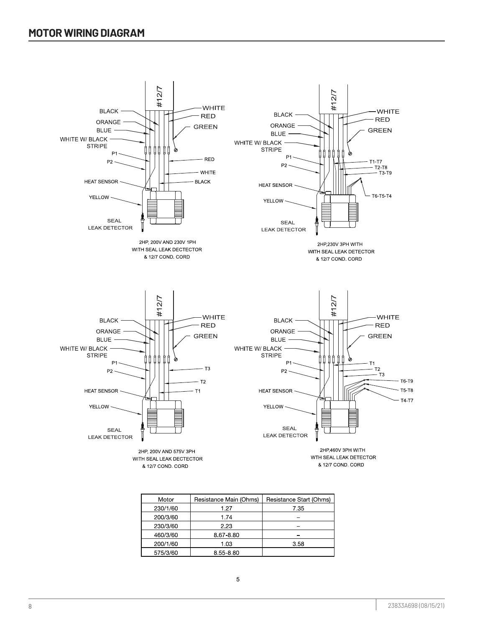

| Motor    | Resistance Main (Ohms) | Resistance Start (Ohms) |
|----------|------------------------|-------------------------|
| 230/1/60 | 1.27                   | 7.35                    |
| 200/3/60 | 1.74                   |                         |
| 230/3/60 | 2.23                   |                         |
| 460/3/60 | 8 67 8 80              |                         |
| 200/1/60 | 1.03                   | 3.58                    |
| 575/3/60 | 8.55 8.80              |                         |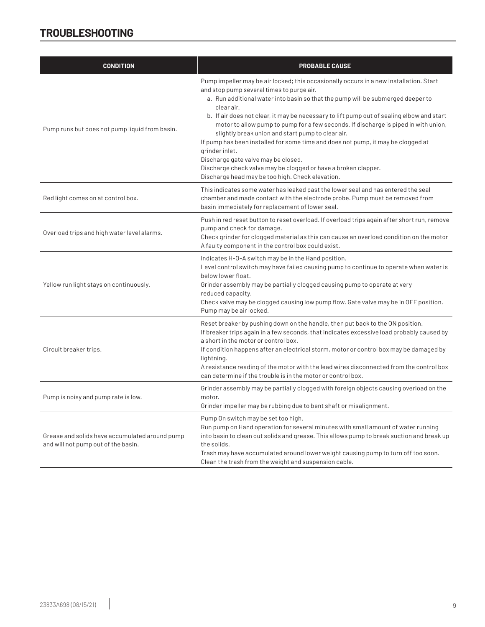### **TROUBLESHOOTING**

| <b>CONDITION</b>                                                                      | <b>PROBABLE CAUSE</b>                                                                                                                                                                                                                                                                                                                                                                                                                                                                                                                                                                                                                                                                                                                            |
|---------------------------------------------------------------------------------------|--------------------------------------------------------------------------------------------------------------------------------------------------------------------------------------------------------------------------------------------------------------------------------------------------------------------------------------------------------------------------------------------------------------------------------------------------------------------------------------------------------------------------------------------------------------------------------------------------------------------------------------------------------------------------------------------------------------------------------------------------|
| Pump runs but does not pump liquid from basin.                                        | Pump impeller may be air locked; this occasionally occurs in a new installation. Start<br>and stop pump several times to purge air.<br>a. Run additional water into basin so that the pump will be submerged deeper to<br>clear air.<br>b. If air does not clear, it may be necessary to lift pump out of sealing elbow and start<br>motor to allow pump to pump for a few seconds. If discharge is piped in with union,<br>slightly break union and start pump to clear air.<br>If pump has been installed for some time and does not pump, it may be clogged at<br>grinder inlet.<br>Discharge gate valve may be closed.<br>Discharge check valve may be clogged or have a broken clapper.<br>Discharge head may be too high. Check elevation. |
| Red light comes on at control box.                                                    | This indicates some water has leaked past the lower seal and has entered the seal<br>chamber and made contact with the electrode probe. Pump must be removed from<br>basin immediately for replacement of lower seal.                                                                                                                                                                                                                                                                                                                                                                                                                                                                                                                            |
| Overload trips and high water level alarms.                                           | Push in red reset button to reset overload. If overload trips again after short run, remove<br>pump and check for damage.<br>Check grinder for clogged material as this can cause an overload condition on the motor<br>A faulty component in the control box could exist.                                                                                                                                                                                                                                                                                                                                                                                                                                                                       |
| Yellow run light stays on continuously.                                               | Indicates H-O-A switch may be in the Hand position.<br>Level control switch may have failed causing pump to continue to operate when water is<br>below lower float.<br>Grinder assembly may be partially clogged causing pump to operate at very<br>reduced capacity.<br>Check valve may be clogged causing low pump flow. Gate valve may be in OFF position.<br>Pump may be air locked.                                                                                                                                                                                                                                                                                                                                                         |
| Circuit breaker trips.                                                                | Reset breaker by pushing down on the handle, then put back to the ON position.<br>If breaker trips again in a few seconds, that indicates excessive load probably caused by<br>a short in the motor or control box.<br>If condition happens after an electrical storm, motor or control box may be damaged by<br>lightning.<br>A resistance reading of the motor with the lead wires disconnected from the control box<br>can determine if the trouble is in the motor or control box.                                                                                                                                                                                                                                                           |
| Pump is noisy and pump rate is low.                                                   | Grinder assembly may be partially clogged with foreign objects causing overload on the<br>motor.<br>Grinder impeller may be rubbing due to bent shaft or misalignment.                                                                                                                                                                                                                                                                                                                                                                                                                                                                                                                                                                           |
| Grease and solids have accumulated around pump<br>and will not pump out of the basin. | Pump On switch may be set too high.<br>Run pump on Hand operation for several minutes with small amount of water running<br>into basin to clean out solids and grease. This allows pump to break suction and break up<br>the solids.<br>Trash may have accumulated around lower weight causing pump to turn off too soon.<br>Clean the trash from the weight and suspension cable.                                                                                                                                                                                                                                                                                                                                                               |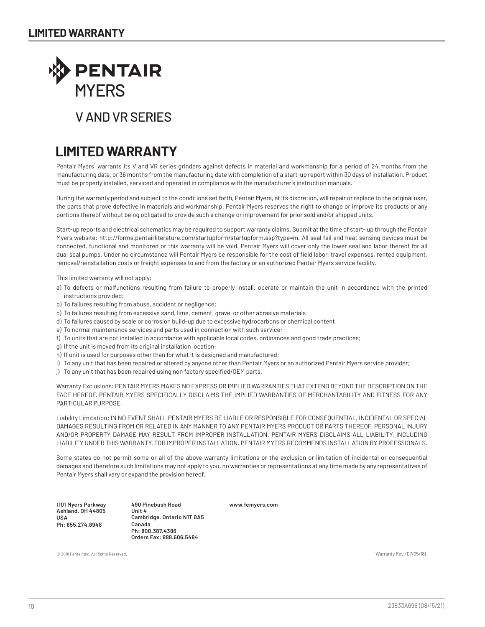

### V AND VR SERIES

## **LIMITED WARRANTY**

Pentair Myers° warrants its V and VR series grinders against defects in material and workmanship for a period of 24 months from the manufacturing date, or 36 months from the manufacturing date with completion of a start-up report within 30 days of installation. Product must be properly installed, serviced and operated in compliance with the manufacturer's instruction manuals.

During the warranty period and subject to the conditions set forth, Pentair Myers, at its discretion, will repair or replace to the original user, the parts that prove defective in materials and workmanship. Pentair Myers reserves the right to change or improve its products or any portions thereof without being obligated to provide such a change or improvement for prior sold and/or shipped units.

Start-up reports and electrical schematics may be required to support warranty claims. Submit at the time of start- up through the Pentair Myers website: http://forms.pentairliterature.com/startupform/startupform.asp?type=m. All seal fail and heat sensing devices must be connected, functional and monitored or this warranty will be void. Pentair Myers will cover only the lower seal and labor thereof for all dual seal pumps. Under no circumstance will Pentair Myers be responsible for the cost of field labor, travel expenses, rented equipment, removal/reinstallation costs or freight expenses to and from the factory or an authorized Pentair Myers service facility.

This limited warranty will not apply:

- a) To defects or malfunctions resulting from failure to properly install, operate or maintain the unit in accordance with the printed instructions provided;
- b) To failures resulting from abuse, accident or negligence;
- c) To failures resulting from excessive sand, lime, cement, gravel or other abrasive materials
- d) To failures caused by scale or corrosion build-up due to excessive hydrocarbons or chemical content
- e) To normal maintenance services and parts used in connection with such service;
- f) To units that are not installed in accordance with applicable local codes, ordinances and good trade practices;
- g) If the unit is moved from its original installation location;
- h) If unit is used for purposes other than for what it is designed and manufactured;
- i) To any unit that has been repaired or altered by anyone other than Pentair Myers or an authorized Pentair Myers service provider;
- j) To any unit that has been repaired using non factory specified/OEM parts.

Warranty Exclusions: PENTAIR MYERS MAKES NO EXPRESS OR IMPLIED WARRANTIES THAT EXTEND BEYOND THE DESCRIPTION ON THE FACE HEREOF. PENTAIR MYERS SPECIFICALLY DISCLAIMS THE IMPLIED WARRANTIES OF MERCHANTABILITY AND FITNESS FOR ANY PARTICULAR PURPOSE.

Liability Limitation: IN NO EVENT SHALL PENTAIR MYERS BE LIABLE OR RESPONSIBLE FOR CONSEQUENTIAL, INCIDENTAL OR SPECIAL DAMAGES RESULTING FROM OR RELATED IN ANY MANNER TO ANY PENTAIR MYERS PRODUCT OR PARTS THEREOF. PERSONAL INJURY AND/OR PROPERTY DAMAGE MAY RESULT FROM IMPROPER INSTALLATION. PENTAIR MYERS DISCLAIMS ALL LIABILITY, INCLUDING LIABILITY UNDER THIS WARRANTY, FOR IMPROPER INSTALLATION. PENTAIR MYERS RECOMMENDS INSTALLATION BY PROFESSIONALS.

Some states do not permit some or all of the above warranty limitations or the exclusion or limitation of incidental or consequential damages and therefore such limitations may not apply to you. no warranties or representations at any time made by any representatives of Pentair Myers shall vary or expand the provision hereof.

**1101 Myers Parkway Ashland, OH 44805 USA Ph: 855.274.8948**

**490 Pinebush Road Unit 4 Cambridge, Ontario N1T 0A5 Canada Ph: 800.387.4386 Orders Fax: 888.606.5484**

**www.femyers.com**

© 2018 Pentair plc. All Rights Reserved. Warranty Rev. (07/05/18)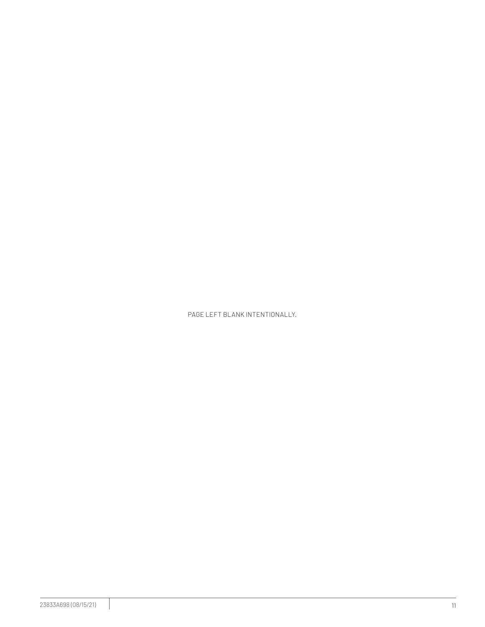PAGE LEFT BLANK INTENTIONALLY.